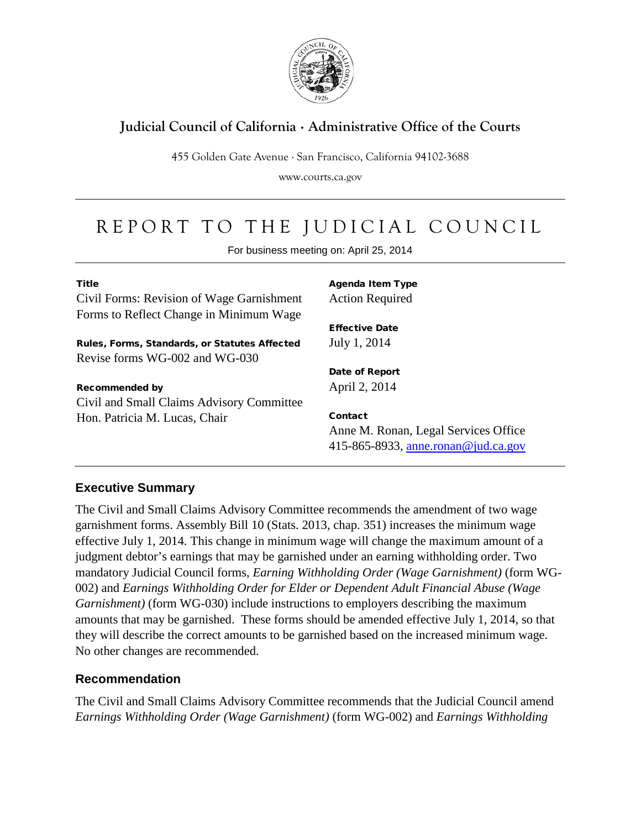

## **Judicial Council of California** . **Administrative Office of the Courts**

455 Golden Gate Avenue . San Francisco, California 94102-3688

www.courts.ca.gov

# REPORT TO THE JUDICIAL COUNCIL

For business meeting on: April 25, 2014

| <b>Title</b>                                  |
|-----------------------------------------------|
| Civil Forms: Revision of Wage Garnishment     |
| Forms to Reflect Change in Minimum Wage       |
| Rules, Forms, Standards, or Statutes Affected |
| Revise forms WG-002 and WG-030                |
| <b>Recommended by</b>                         |
| Civil and Small Claims Advisory Committee     |

Civil and Small Claims Advisory Committee Hon. Patricia M. Lucas, Chair

Agenda Item Type Action Required

Effective Date July 1, 2014

Date of Report April 2, 2014

Contact Anne M. Ronan, Legal Services Office 415-865-8933, [anne.ronan@jud.ca.gov](mailto:anne.ronan@jud.ca.gov) 

## **Executive Summary**

The Civil and Small Claims Advisory Committee recommends the amendment of two wage garnishment forms. Assembly Bill 10 (Stats. 2013, chap. 351) increases the minimum wage effective July 1, 2014. This change in minimum wage will change the maximum amount of a judgment debtor's earnings that may be garnished under an earning withholding order. Two mandatory Judicial Council forms, *Earning Withholding Order (Wage Garnishment)* (form WG-002) and *Earnings Withholding Order for Elder or Dependent Adult Financial Abuse (Wage Garnishment)* (form WG-030) include instructions to employers describing the maximum amounts that may be garnished. These forms should be amended effective July 1, 2014, so that they will describe the correct amounts to be garnished based on the increased minimum wage. No other changes are recommended.

## **Recommendation**

The Civil and Small Claims Advisory Committee recommends that the Judicial Council amend *Earnings Withholding Order (Wage Garnishment)* (form WG-002) and *Earnings Withholding*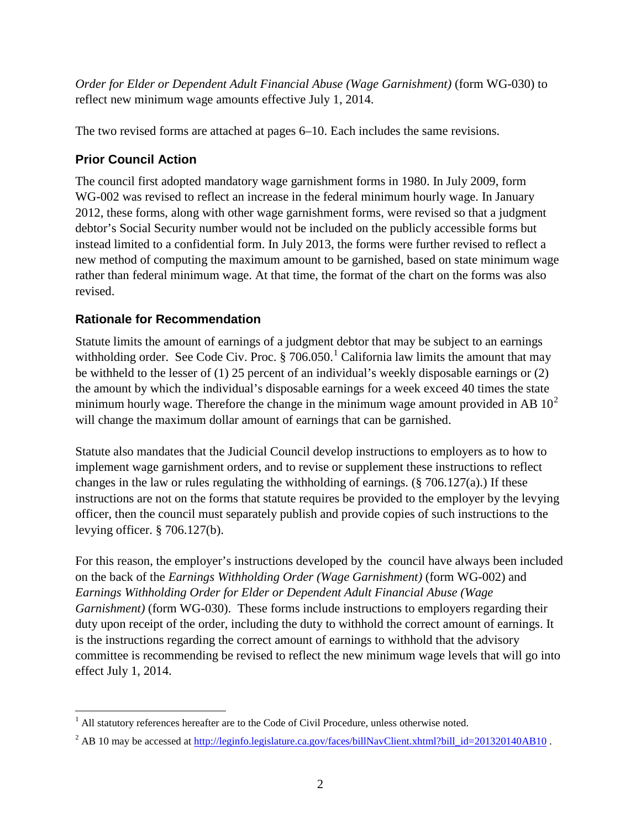*Order for Elder or Dependent Adult Financial Abuse (Wage Garnishment)* (form WG-030) to reflect new minimum wage amounts effective July 1, 2014.

The two revised forms are attached at pages 6–10. Each includes the same revisions.

## **Prior Council Action**

The council first adopted mandatory wage garnishment forms in 1980. In July 2009, form WG-002 was revised to reflect an increase in the federal minimum hourly wage. In January 2012, these forms, along with other wage garnishment forms, were revised so that a judgment debtor's Social Security number would not be included on the publicly accessible forms but instead limited to a confidential form. In July 2013, the forms were further revised to reflect a new method of computing the maximum amount to be garnished, based on state minimum wage rather than federal minimum wage. At that time, the format of the chart on the forms was also revised.

## **Rationale for Recommendation**

Statute limits the amount of earnings of a judgment debtor that may be subject to an earnings withholding order. See Code Civ. Proc.  $\S 706.050$ .<sup>[1](#page-1-0)</sup> California law limits the amount that may be withheld to the lesser of (1) 25 percent of an individual's weekly disposable earnings or (2) the amount by which the individual's disposable earnings for a week exceed 40 times the state minimum hourly wage. Therefore the change in the minimum wage amount provided in AB  $10<sup>2</sup>$  $10<sup>2</sup>$  $10<sup>2</sup>$ will change the maximum dollar amount of earnings that can be garnished.

Statute also mandates that the Judicial Council develop instructions to employers as to how to implement wage garnishment orders, and to revise or supplement these instructions to reflect changes in the law or rules regulating the withholding of earnings. (§ 706.127(a).) If these instructions are not on the forms that statute requires be provided to the employer by the levying officer, then the council must separately publish and provide copies of such instructions to the levying officer. § 706.127(b).

For this reason, the employer's instructions developed by the council have always been included on the back of the *Earnings Withholding Order (Wage Garnishment)* (form WG-002) and *Earnings Withholding Order for Elder or Dependent Adult Financial Abuse (Wage Garnishment)* (form WG-030). These forms include instructions to employers regarding their duty upon receipt of the order, including the duty to withhold the correct amount of earnings. It is the instructions regarding the correct amount of earnings to withhold that the advisory committee is recommending be revised to reflect the new minimum wage levels that will go into effect July 1, 2014.

<span id="page-1-0"></span> $<sup>1</sup>$  All statutory references hereafter are to the Code of Civil Procedure, unless otherwise noted.</sup>  $\overline{a}$ 

<span id="page-1-1"></span><sup>&</sup>lt;sup>2</sup> AB 10 may be accessed at http://leginfo.legislature.ca.gov/faces/billNavClient.xhtml?bill\_id=201320140AB10.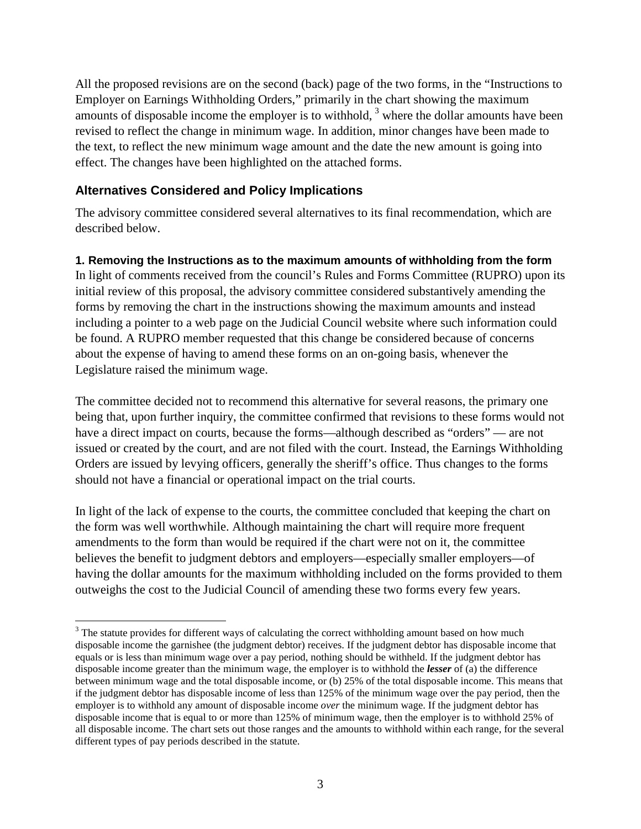All the proposed revisions are on the second (back) page of the two forms, in the "Instructions to Employer on Earnings Withholding Orders," primarily in the chart showing the maximum amounts of disposable income the employer is to withhold,  $3$  where the dollar amounts have been revised to reflect the change in minimum wage. In addition, minor changes have been made to the text, to reflect the new minimum wage amount and the date the new amount is going into effect. The changes have been highlighted on the attached forms.

## **Alternatives Considered and Policy Implications**

The advisory committee considered several alternatives to its final recommendation, which are described below.

## **1. Removing the Instructions as to the maximum amounts of withholding from the form**

In light of comments received from the council's Rules and Forms Committee (RUPRO) upon its initial review of this proposal, the advisory committee considered substantively amending the forms by removing the chart in the instructions showing the maximum amounts and instead including a pointer to a web page on the Judicial Council website where such information could be found. A RUPRO member requested that this change be considered because of concerns about the expense of having to amend these forms on an on-going basis, whenever the Legislature raised the minimum wage.

The committee decided not to recommend this alternative for several reasons, the primary one being that, upon further inquiry, the committee confirmed that revisions to these forms would not have a direct impact on courts, because the forms—although described as "orders" — are not issued or created by the court, and are not filed with the court. Instead, the Earnings Withholding Orders are issued by levying officers, generally the sheriff's office. Thus changes to the forms should not have a financial or operational impact on the trial courts.

In light of the lack of expense to the courts, the committee concluded that keeping the chart on the form was well worthwhile. Although maintaining the chart will require more frequent amendments to the form than would be required if the chart were not on it, the committee believes the benefit to judgment debtors and employers—especially smaller employers—of having the dollar amounts for the maximum withholding included on the forms provided to them outweighs the cost to the Judicial Council of amending these two forms every few years.

<span id="page-2-0"></span><sup>&</sup>lt;sup>3</sup> The statute provides for different ways of calculating the correct withholding amount based on how much disposable income the garnishee (the judgment debtor) receives. If the judgment debtor has disposable income that equals or is less than minimum wage over a pay period, nothing should be withheld. If the judgment debtor has disposable income greater than the minimum wage, the employer is to withhold the *lesser* of (a) the difference between minimum wage and the total disposable income, or (b) 25% of the total disposable income. This means that if the judgment debtor has disposable income of less than 125% of the minimum wage over the pay period, then the employer is to withhold any amount of disposable income *over* the minimum wage. If the judgment debtor has disposable income that is equal to or more than 125% of minimum wage, then the employer is to withhold 25% of all disposable income. The chart sets out those ranges and the amounts to withhold within each range, for the several different types of pay periods described in the statute.  $\overline{a}$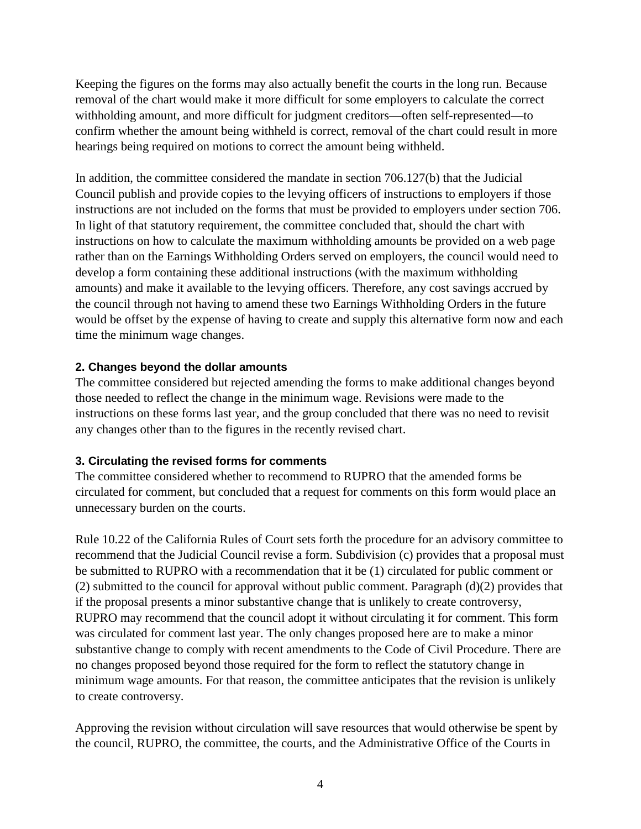Keeping the figures on the forms may also actually benefit the courts in the long run. Because removal of the chart would make it more difficult for some employers to calculate the correct withholding amount, and more difficult for judgment creditors—often self-represented—to confirm whether the amount being withheld is correct, removal of the chart could result in more hearings being required on motions to correct the amount being withheld.

In addition, the committee considered the mandate in section 706.127(b) that the Judicial Council publish and provide copies to the levying officers of instructions to employers if those instructions are not included on the forms that must be provided to employers under section 706. In light of that statutory requirement, the committee concluded that, should the chart with instructions on how to calculate the maximum withholding amounts be provided on a web page rather than on the Earnings Withholding Orders served on employers, the council would need to develop a form containing these additional instructions (with the maximum withholding amounts) and make it available to the levying officers. Therefore, any cost savings accrued by the council through not having to amend these two Earnings Withholding Orders in the future would be offset by the expense of having to create and supply this alternative form now and each time the minimum wage changes.

## **2. Changes beyond the dollar amounts**

The committee considered but rejected amending the forms to make additional changes beyond those needed to reflect the change in the minimum wage. Revisions were made to the instructions on these forms last year, and the group concluded that there was no need to revisit any changes other than to the figures in the recently revised chart.

## **3. Circulating the revised forms for comments**

The committee considered whether to recommend to RUPRO that the amended forms be circulated for comment, but concluded that a request for comments on this form would place an unnecessary burden on the courts.

Rule 10.22 of the California Rules of Court sets forth the procedure for an advisory committee to recommend that the Judicial Council revise a form. Subdivision (c) provides that a proposal must be submitted to RUPRO with a recommendation that it be (1) circulated for public comment or (2) submitted to the council for approval without public comment. Paragraph (d)(2) provides that if the proposal presents a minor substantive change that is unlikely to create controversy, RUPRO may recommend that the council adopt it without circulating it for comment. This form was circulated for comment last year. The only changes proposed here are to make a minor substantive change to comply with recent amendments to the Code of Civil Procedure. There are no changes proposed beyond those required for the form to reflect the statutory change in minimum wage amounts. For that reason, the committee anticipates that the revision is unlikely to create controversy.

Approving the revision without circulation will save resources that would otherwise be spent by the council, RUPRO, the committee, the courts, and the Administrative Office of the Courts in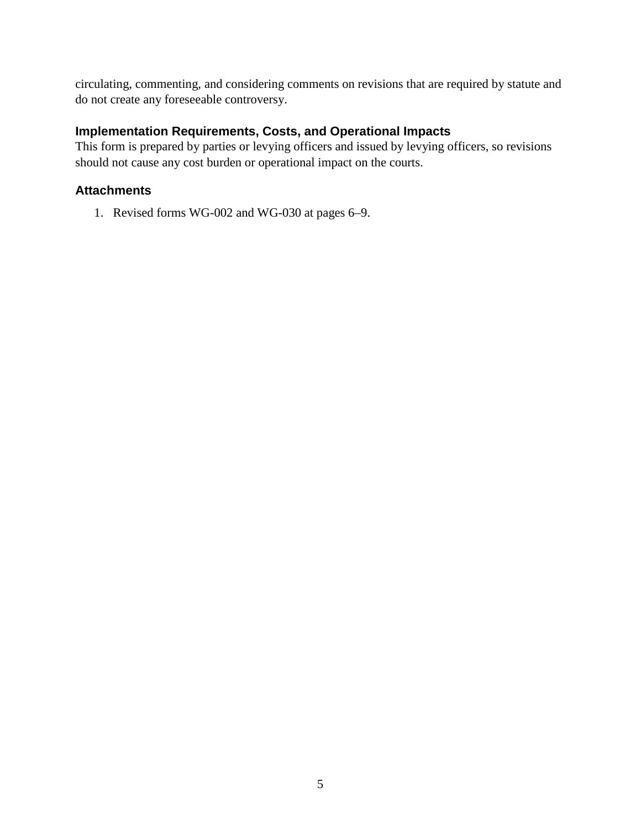circulating, commenting, and considering comments on revisions that are required by statute and do not create any foreseeable controversy.

## **Implementation Requirements, Costs, and Operational Impacts**

This form is prepared by parties or levying officers and issued by levying officers, so revisions should not cause any cost burden or operational impact on the courts.

## **Attachments**

1. Revised forms WG-002 and WG-030 at pages 6–9.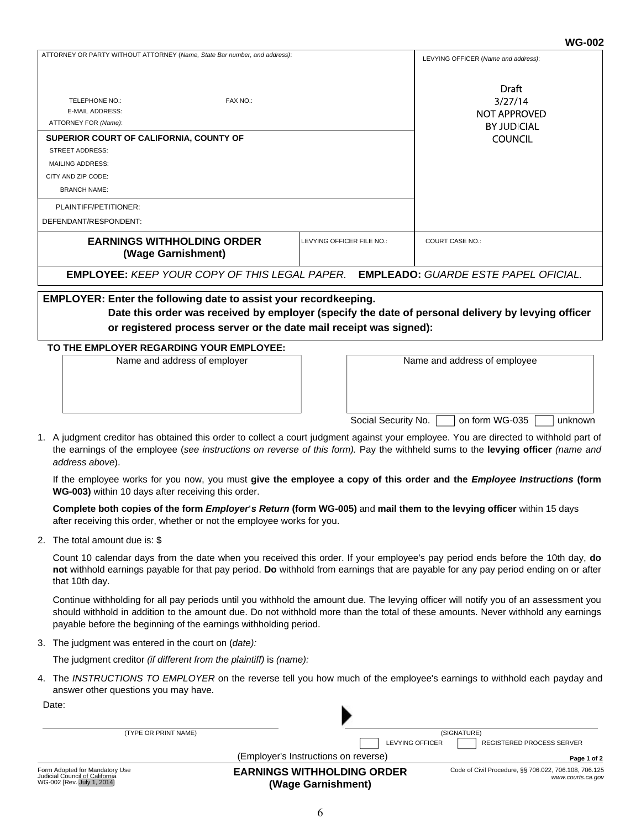### **WG-002**

|                                                                                                                                                                                                                                                    |                           |                                                                          | 11 J-VVZ                            |  |
|----------------------------------------------------------------------------------------------------------------------------------------------------------------------------------------------------------------------------------------------------|---------------------------|--------------------------------------------------------------------------|-------------------------------------|--|
| ATTORNEY OR PARTY WITHOUT ATTORNEY (Name, State Bar number, and address):                                                                                                                                                                          |                           |                                                                          | LEVYING OFFICER (Name and address): |  |
| FAX NO.:<br>TELEPHONE NO.:<br><b>E-MAIL ADDRESS:</b><br>ATTORNEY FOR (Name):<br>SUPERIOR COURT OF CALIFORNIA, COUNTY OF<br><b>STREET ADDRESS:</b><br><b>MAILING ADDRESS:</b><br>CITY AND ZIP CODE:<br><b>BRANCH NAME:</b><br>PLAINTIFF/PETITIONER: |                           | Draft<br>3/27/14<br>NOT APPROVED<br><b>BY JUDICIAL</b><br><b>COUNCIL</b> |                                     |  |
| DEFENDANT/RESPONDENT:                                                                                                                                                                                                                              |                           |                                                                          |                                     |  |
| <b>EARNINGS WITHHOLDING ORDER</b><br>(Wage Garnishment)                                                                                                                                                                                            | LEVYING OFFICER FILE NO.: |                                                                          | <b>COURT CASE NO.:</b>              |  |
| <b>EMPLOYEE: KEEP YOUR COPY OF THIS LEGAL PAPER.</b><br><b>EMPLEADO:</b> GUARDE ESTE PAPEL OFICIAL.                                                                                                                                                |                           |                                                                          |                                     |  |
| EMPLOYER: Enter the following date to assist your recordkeeping.<br>Date this order was received by employer (specify the date of personal delivery by levying officer<br>or registered process server or the date mail receipt was signed):       |                           |                                                                          |                                     |  |
| TO THE EMPLOYER REGARDING YOUR EMPLOYEE:                                                                                                                                                                                                           |                           |                                                                          |                                     |  |
| Name and address of employer                                                                                                                                                                                                                       |                           |                                                                          | Name and address of employee        |  |

- Social Security No. 00 on form WG-035 unknown
- 1. A judgment creditor has obtained this order to collect a court judgment against your employee. You are directed to withhold part of the earnings of the employee (*see instructions on reverse of this form).* Pay the withheld sums to the **levying officer** *(name and address above*).

If the employee works for you now, you must **give the employee a copy of this order and the** *Employee Instructions* **(form WG-003)** within 10 days after receiving this order.

**Complete both copies of the form** *Employer***'***s Return* **(form WG-005)** and **mail them to the levying officer** within 15 days after receiving this order, whether or not the employee works for you.

2. The total amount due is: \$

Count 10 calendar days from the date when you received this order. If your employee's pay period ends before the 10th day, **do not** withhold earnings payable for that pay period. **Do** withhold from earnings that are payable for any pay period ending on or after that 10th day.

Continue withholding for all pay periods until you withhold the amount due. The levying officer will notify you of an assessment you should withhold in addition to the amount due. Do not withhold more than the total of these amounts. Never withhold any earnings payable before the beginning of the earnings withholding period.

3. The judgment was entered in the court on (*date):*

The judgment creditor *(if different from the plaintiff)* is *(name):*

4. The INSTRUCTIONS TO EMPLOYER on the reverse tell you how much of the employee's earnings to withhold each payday and answer other questions you may have.

| Date:                                                                                          |                                                         |                                                                            |
|------------------------------------------------------------------------------------------------|---------------------------------------------------------|----------------------------------------------------------------------------|
| (TYPE OR PRINT NAME)                                                                           |                                                         | (SIGNATURE)                                                                |
|                                                                                                | <b>LEVYING OFFICER</b>                                  | <b>REGISTERED PROCESS SERVER</b>                                           |
|                                                                                                | (Employer's Instructions on reverse)                    | Page 1 of 2                                                                |
| Form Adopted for Mandatory Use<br>Judicial Council of California<br>WG-002 [Rev. July 1, 2014] | <b>EARNINGS WITHHOLDING ORDER</b><br>(Wage Garnishment) | Code of Civil Procedure, §§ 706.022, 706.108, 706.125<br>www.courts.ca.gov |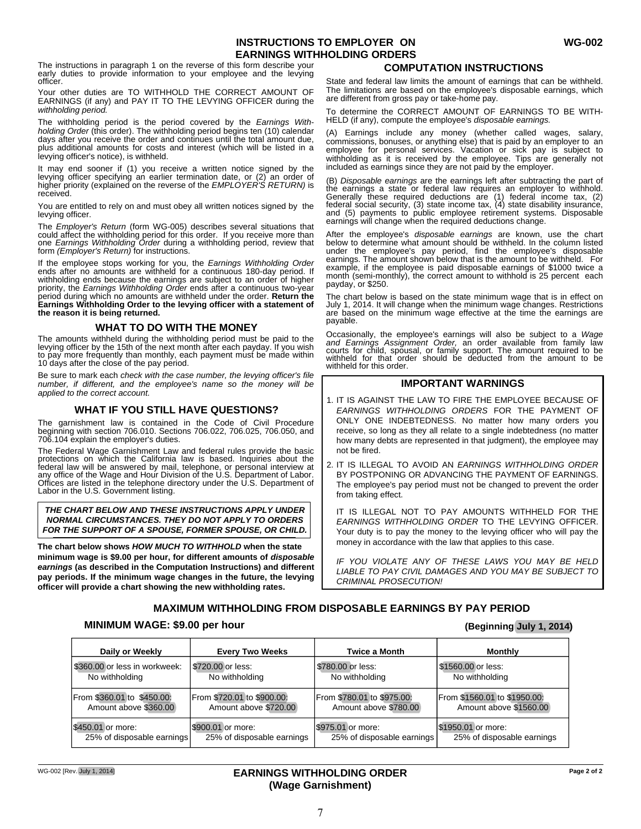## **INSTRUCTIONS TO EMPLOYER ON WG-002 EARNINGS WITHHOLDING ORDERS**

The instructions in paragraph 1 on the reverse of this form describe your<br>
early duties to provide information to your employee and the levying<br> **COMPUTATION INSTRUCTIONS** officer.

Your other duties are TO WITHHOLD THE CORRECT AMOUNT OF EARNINGS (if any) and PAY IT TO THE LEVYING OFFICER during the *withholding period.*

The withholding period is the period covered by the *Earnings With-* HELD (if any), compute the employee's *disposable earnings. holding Order* (this order). The withholding period begins ten (10) calendar days after you receive the order and continues until the total amount due, plus additional amounts for costs and interest (which will be listed in a levying officer's notice), is withheld.

It may end sooner if (1) you receive a written notice signed by the included as earnings since they are not paid by the employer. levying officer specifying an earlier termination date, or (2) an order of higher priority (explained on the reverse of the *EMPLOYER'S RETURN)* is received.

You are entitled to rely on and must obey all written notices signed by the levying officer.

The *Employer's Return* (form WG-005) describes several situations that could affect the withholding period for this order. If you receive more than one *Earnings Withholding Order* during a withholding period, review that form *(Employer's Return)* for instructions.

If the employee stops working for you, the *Earnings Withholding Order* ends after no amounts are withheld for a continuous 180-day period. If withholding ends because the earnings are subject to an order of higher priority, the *Earnings Withholding Order* ends after a continuous two-year period during which no amounts are withheld under the order. **Return the Earnings Withholding Order to the levying officer with a statement of the reason it is being returned.**

### **WHAT TO DO WITH THE MONEY**

The amounts withheld during the withholding period must be paid to the levying officer by the 15th of the next month after each payday. If you wish to pay more frequently than monthly, each payment must be made within 10 days after the close of the pay period.

Be sure to mark each *check with the case number, the levying officer's file number, if different, and the employee's name so the money will be applied to the correct account.*

### **WHAT IF YOU STILL HAVE QUESTIONS?**

The garnishment law is contained in the Code of Civil Procedure beginning with section 706.010. Sections 706.022, 706.025, 706.050, and 706.104 explain the employer's duties.

The Federal Wage Garnishment Law and federal rules provide the basic<br>protections on which the California law is based. Inquiries about the<br>federal law will be answered by mail, telephone, or personal interview at<br>any offic Offices are listed in the telephone directory under the U.S. Department of Labor in the U.S. Government listing.

*THE CHART BELOW AND THESE INSTRUCTIONS APPLY UNDER NORMAL CIRCUMSTANCES. THEY DO NOT APPLY TO ORDERS FOR THE SUPPORT OF A SPOUSE, FORMER SPOUSE, OR CHILD.*

**The chart below shows** *HOW MUCH TO WITHHOLD* **when the state minimum wage is \$9.00 per hour, for different amounts of** *disposable earnings* **(as described in the Computation Instructions) and different pay periods. If the minimum wage changes in the future, the levying officer will provide a chart showing the new withholding rates.**

State and federal law limits the amount of earnings that can be withheld. The limitations are based on the employee's disposable earnings, which are different from gross pay or take-home pay.

To determine the CORRECT AMOUNT OF EARNINGS TO BE WITH-<br>HELD (if any), compute the employee's disposable earnings.

(A) Earnings include any money (whether called wages, salary, commissions, bonuses, or anything else) that is paid by an employer to an employee for personal services. Vacation or sick pay is subject to withholding as it is received by the employee. Tips are generally not

(B) *Disposable earnings* are the earnings left after subtracting the part of the earnings a state or federal law requires an employer to withhold.<br>Generally these required deductions are (1) federal income tax, (2)<br>federal social security, (3) state income tax, (4) state disability insurance,<br>and ( earnings will change when the required deductions change.

After the employee's *disposable earnings* are known, use the chart below to determine what amount should be withheld. In the column listed under the employee's pay period, find the employee's disposable earnings. The amount shown below that is the amount to be withheld. For example, if the employee is paid disposable earnings of \$1000 twice a month (semi-monthly), the correct amount to withhold is 25 percent each payday, or \$250.

The chart below is based on the state minimum wage that is in effect on July 1, 2014. It will change when the minimum wage changes. Restrictions are based on the minimum wage effective at the time the earnings are payable.

Occasionally, the employee's earnings will also be subject to a Wage<br>and Earnings Assignment Order, an order available from family law<br>courts for child, spousal, or family support. The amount required to be<br>withheld for th withheld for this order.

### **IMPORTANT WARNINGS**

- 1. IT IS AGAINST THE LAW TO FIRE THE EMPLOYEE BECAUSE OF *EARNINGS WITHHOLDING ORDERS* FOR THE PAYMENT OF ONLY ONE INDEBTEDNESS. No matter how many orders you receive, so long as they all relate to a single indebtedness (no matter how many debts are represented in that judgment), the employee may not be fired.
- IT IS ILLEGAL TO AVOID AN *EARNINGS WITHHOLDING ORDER* 2. BY POSTPONING OR ADVANCING THE PAYMENT OF EARNINGS. The employee's pay period must not be changed to prevent the order from taking effect.

IT IS ILLEGAL NOT TO PAY AMOUNTS WITHHELD FOR THE *EARNINGS WITHHOLDING ORDER* TO THE LEVYING OFFICER. Your duty is to pay the money to the levying officer who will pay the money in accordance with the law that applies to this case.

*IF YOU VIOLATE ANY OF THESE LAWS YOU MAY BE HELD LIABLE TO PAY CIVIL DAMAGES AND YOU MAY BE SUBJECT TO CRIMINAL PROSECUTION!*

## **MAXIMUM WITHHOLDING FROM DISPOSABLE EARNINGS BY PAY PERIOD**

### **MINIMUM WAGE: \$9.00 per hour (Beginning July 1, 2014)**

| Daily or Weekly               | <b>Every Two Weeks</b>     | <b>Twice a Month</b>       | <b>Monthly</b>               |
|-------------------------------|----------------------------|----------------------------|------------------------------|
| \$360.00 or less in workweek: | \$720,00 or less:          | \$780,00 or less:          | \$1560.00 or less:           |
| No withholding                | No withholding             | No withholding             | No withholding               |
| From \$360.01 to \$450.00:    | From \$720.01 to \$900.00: | From \$780.01 to \$975.00: | From \$1560.01 to \$1950.00: |
| Amount above \$360.00         | Amount above \$720.00      | Amount above \$780.00      | Amount above \$1560.00       |
| \$450.01 or more:             | S900.01 or more:           | \$975.01 or more:          | \$1950.01 or more:           |
| 25% of disposable earnings    | 25% of disposable earnings | 25% of disposable earnings | 25% of disposable earnings   |

7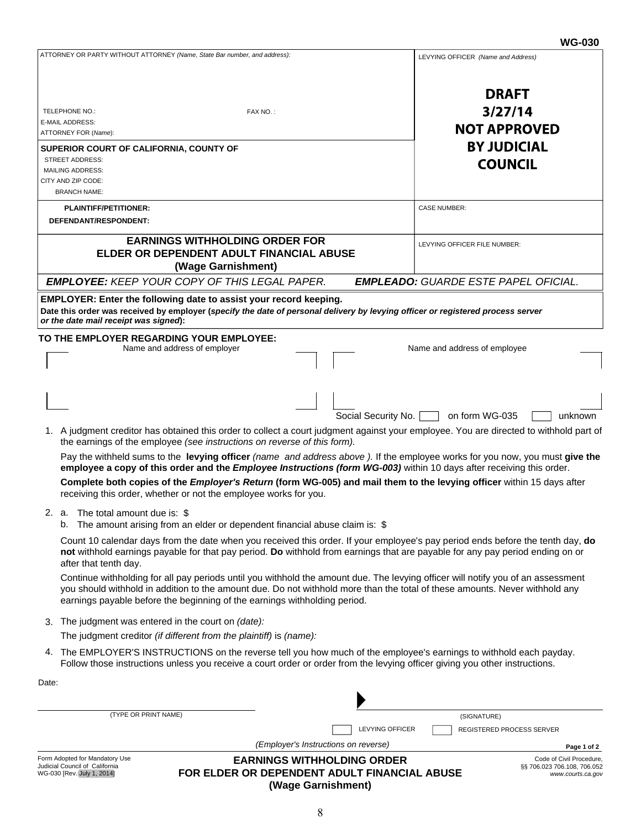| ATTORNEY OR PARTY WITHOUT ATTORNEY (Name, State Bar number, and address):                                                                                                                                                                                                                                                                    | LEVYING OFFICER (Name and Address)                                          |
|----------------------------------------------------------------------------------------------------------------------------------------------------------------------------------------------------------------------------------------------------------------------------------------------------------------------------------------------|-----------------------------------------------------------------------------|
| TELEPHONE NO.:<br>FAX NO.:                                                                                                                                                                                                                                                                                                                   | <b>DRAFT</b><br>3/27/14                                                     |
| E-MAIL ADDRESS:                                                                                                                                                                                                                                                                                                                              | <b>NOT APPROVED</b>                                                         |
| ATTORNEY FOR (Name):                                                                                                                                                                                                                                                                                                                         |                                                                             |
| SUPERIOR COURT OF CALIFORNIA, COUNTY OF<br><b>STREET ADDRESS:</b>                                                                                                                                                                                                                                                                            | <b>BY JUDICIAL</b>                                                          |
| MAILING ADDRESS:                                                                                                                                                                                                                                                                                                                             | <b>COUNCIL</b>                                                              |
| CITY AND ZIP CODE:                                                                                                                                                                                                                                                                                                                           |                                                                             |
| <b>BRANCH NAME:</b>                                                                                                                                                                                                                                                                                                                          |                                                                             |
| <b>PLAINTIFF/PETITIONER:</b><br>DEFENDANT/RESPONDENT:                                                                                                                                                                                                                                                                                        | <b>CASE NUMBER:</b>                                                         |
| <b>EARNINGS WITHHOLDING ORDER FOR</b><br>ELDER OR DEPENDENT ADULT FINANCIAL ABUSE<br>(Wage Garnishment)                                                                                                                                                                                                                                      | LEVYING OFFICER FILE NUMBER:                                                |
| <b>EMPLOYEE: KEEP YOUR COPY OF THIS LEGAL PAPER.</b>                                                                                                                                                                                                                                                                                         | <b>EMPLEADO: GUARDE ESTE PAPEL OFICIAL.</b>                                 |
| EMPLOYER: Enter the following date to assist your record keeping.<br>Date this order was received by employer (specify the date of personal delivery by levying officer or registered process server<br>or the date mail receipt was signed):                                                                                                |                                                                             |
| TO THE EMPLOYER REGARDING YOUR EMPLOYEE:<br>Name and address of employer                                                                                                                                                                                                                                                                     | Name and address of employee                                                |
| Social Security No.                                                                                                                                                                                                                                                                                                                          | on form WG-035<br>unknown                                                   |
| 1. A judgment creditor has obtained this order to collect a court judgment against your employee. You are directed to withhold part of<br>the earnings of the employee (see instructions on reverse of this form).                                                                                                                           |                                                                             |
| Pay the withheld sums to the levying officer (name and address above). If the employee works for you now, you must give the<br>employee a copy of this order and the <i>Employee Instructions (form WG-003)</i> within 10 days after receiving this order.                                                                                   |                                                                             |
| Complete both copies of the Employer's Return (form WG-005) and mail them to the levying officer within 15 days after<br>receiving this order, whether or not the employee works for you.                                                                                                                                                    |                                                                             |
| 2. a. The total amount due is: \$<br>b. The amount arising from an elder or dependent financial abuse claim is: \$                                                                                                                                                                                                                           |                                                                             |
| Count 10 calendar days from the date when you received this order. If your employee's pay period ends before the tenth day, do<br>not withhold earnings payable for that pay period. Do withhold from earnings that are payable for any pay period ending on or<br>after that tenth day.                                                     |                                                                             |
| Continue withholding for all pay periods until you withhold the amount due. The levying officer will notify you of an assessment<br>you should withhold in addition to the amount due. Do not withhold more than the total of these amounts. Never withhold any<br>earnings payable before the beginning of the earnings withholding period. |                                                                             |
| The judgment was entered in the court on (date):<br>3.                                                                                                                                                                                                                                                                                       |                                                                             |
| The judgment creditor (if different from the plaintiff) is (name):                                                                                                                                                                                                                                                                           |                                                                             |
| 4. The EMPLOYER'S INSTRUCTIONS on the reverse tell you how much of the employee's earnings to withhold each payday.<br>Follow those instructions unless you receive a court order or order from the levying officer giving you other instructions.                                                                                           |                                                                             |
| Date:                                                                                                                                                                                                                                                                                                                                        |                                                                             |
|                                                                                                                                                                                                                                                                                                                                              |                                                                             |
| (TYPE OR PRINT NAME)                                                                                                                                                                                                                                                                                                                         | (SIGNATURE)                                                                 |
| <b>LEVYING OFFICER</b>                                                                                                                                                                                                                                                                                                                       | REGISTERED PROCESS SERVER                                                   |
| (Employer's Instructions on reverse)                                                                                                                                                                                                                                                                                                         | Page 1 of 2                                                                 |
| Form Adopted for Mandatory Use<br><b>EARNINGS WITHHOLDING ORDER</b><br>Judicial Council of California<br>FOR ELDER OR DEPENDENT ADULT FINANCIAL ABUSE<br>WG-030 [Rev. July 1, 2014]<br>(Wage Garnishment)                                                                                                                                    | Code of Civil Procedure<br>§§ 706.023 706.108, 706.052<br>www.courts.ca.gov |